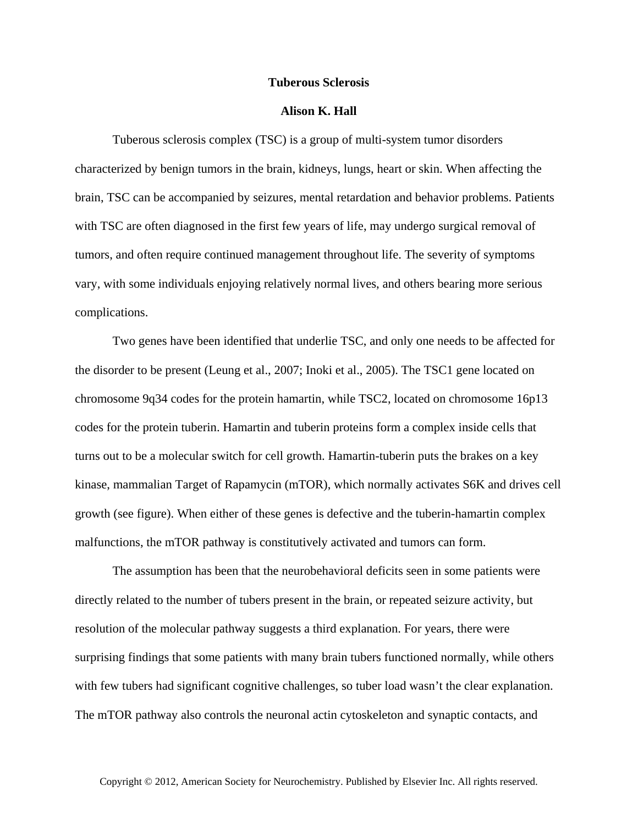## **Tuberous Sclerosis**

## **Alison K. Hall**

Tuberous sclerosis complex (TSC) is a group of multi-system tumor disorders characterized by benign tumors in the brain, kidneys, lungs, heart or skin. When affecting the brain, TSC can be accompanied by seizures, mental retardation and behavior problems. Patients with TSC are often diagnosed in the first few years of life, may undergo surgical removal of tumors, and often require continued management throughout life. The severity of symptoms vary, with some individuals enjoying relatively normal lives, and others bearing more serious complications.

Two genes have been identified that underlie TSC, and only one needs to be affected for the disorder to be present (Leung et al., 2007; Inoki et al., 2005). The TSC1 gene located on chromosome 9q34 codes for the protein hamartin, while TSC2, located on chromosome 16p13 codes for the protein tuberin. Hamartin and tuberin proteins form a complex inside cells that turns out to be a molecular switch for cell growth. Hamartin-tuberin puts the brakes on a key kinase, mammalian Target of Rapamycin (mTOR), which normally activates S6K and drives cell growth (see figure). When either of these genes is defective and the tuberin-hamartin complex malfunctions, the mTOR pathway is constitutively activated and tumors can form.

The assumption has been that the neurobehavioral deficits seen in some patients were directly related to the number of tubers present in the brain, or repeated seizure activity, but resolution of the molecular pathway suggests a third explanation. For years, there were surprising findings that some patients with many brain tubers functioned normally, while others with few tubers had significant cognitive challenges, so tuber load wasn't the clear explanation. The mTOR pathway also controls the neuronal actin cytoskeleton and synaptic contacts, and